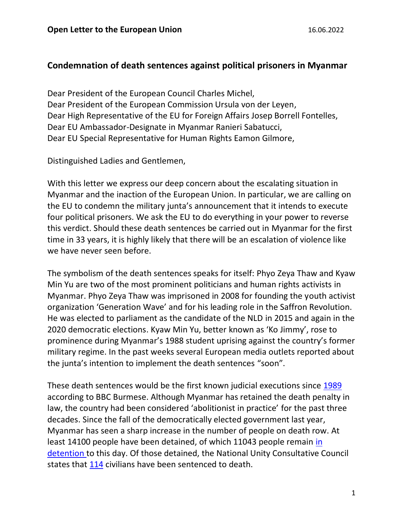## **Condemnation of death sentences against political prisoners in Myanmar**

Dear President of the European Council Charles Michel, Dear President of the European Commission Ursula von der Leyen, Dear High Representative of the EU for Foreign Affairs Josep Borrell Fontelles, Dear EU Ambassador-Designate in Myanmar Ranieri Sabatucci, Dear EU Special Representative for Human Rights Eamon Gilmore,

Distinguished Ladies and Gentlemen,

With this letter we express our deep concern about the escalating situation in Myanmar and the inaction of the European Union. In particular, we are calling on the EU to condemn the military junta's announcement that it intends to execute four political prisoners. We ask the EU to do everything in your power to reverse this verdict. Should these death sentences be carried out in Myanmar for the first time in 33 years, it is highly likely that there will be an escalation of violence like we have never seen before.

The symbolism of the death sentences speaks for itself: Phyo Zeya Thaw and Kyaw Min Yu are two of the most prominent politicians and human rights activists in Myanmar. Phyo Zeya Thaw was imprisoned in 2008 for founding the youth activist organization 'Generation Wave' and for his leading role in the Saffron Revolution. He was elected to parliament as the candidate of the NLD in 2015 and again in the 2020 democratic elections. Kyaw Min Yu, better known as 'Ko Jimmy', rose to prominence during Myanmar's 1988 student uprising against the country's former military regime. In the past weeks several European media outlets reported about the junta's intention to implement the death sentences "soon".

These death sentences would be the first known judicial executions since [1989](https://www.facebook.com/166580710064489/posts/pfbid034RPuSgnC4gpazQ2uStwt5qwDc3WL7UUk1GrE6CtnoJHxw3uaaogov3PvN6L4Uhh7I/?d=n) according to BBC Burmese. Although Myanmar has retained the death penalty in law, the country had been considered 'abolitionist in practice' for the past three decades. Since the fall of the democratically elected government last year, Myanmar has seen a sharp increase in the number of people on death row. At least 14100 people have been detained, of which 11043 people remain [in](https://aappb.org/background/about-aapp/)  [detention](https://aappb.org/background/about-aapp/) to this day. Of those detained, the National Unity Consultative Council states that [114](https://www.facebook.com/103245085216026/posts/pfbid02e2aYeQpzsx8DXMrFVgkBgZUyoEWxori5TuWou2Cc7Bu8rSvwh8uBaSoq6H1zYYwCl/?d=n) civilians have been sentenced to death.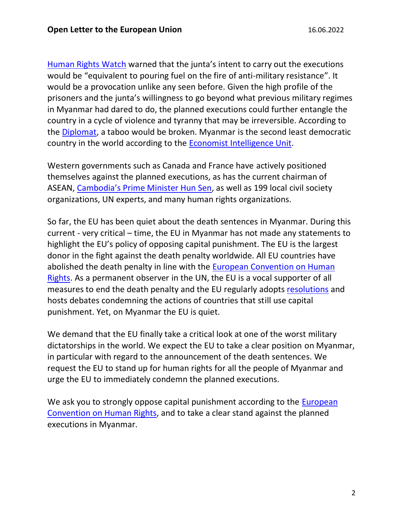[Human Rights Watch](https://twitter.com/Reaproy/status/1532704810125778944) warned that the junta's intent to carry out the executions would be "equivalent to pouring fuel on the fire of anti-military resistance". It would be a provocation unlike any seen before. Given the high profile of the prisoners and the junta's willingness to go beyond what previous military regimes in Myanmar had dared to do, the planned executions could further entangle the country in a cycle of violence and tyranny that may be irreversible. According to the [Diplomat,](https://thediplomat.com/2022/06/fighting-the-fear-the-execution-of-members-of-myanmars-opposition-must-be-stopped/) a taboo would be broken. Myanmar is the second least democratic country in the world according to the Economist [Intelligence Unit.](https://www.economist.com/graphic-detail/2022/02/09/a-new-low-for-global-democracy)

Western governments such as Canada and France have actively positioned themselves against the planned executions, as has the current chairman of ASEAN, [Cambodia's Prime Minister Hun Sen](https://thediplomat.com/2022/06/cambodian-pm-urges-myanmar-not-to-execute-political-prisoners/), as well as 199 local civil society organizations, UN experts, and many human rights organizations.

So far, the EU has been quiet about the death sentences in Myanmar. During this current - very critical – time, the EU in Myanmar has not made any statements to highlight the EU's policy of opposing capital punishment. The EU is the largest donor in the fight against the death penalty worldwide. All EU countries have abolished the death penalty in line with the [European Convention on Human](https://www.echr.coe.int/Documents/Convention_ENG.pdf)  [Rights.](https://www.echr.coe.int/Documents/Convention_ENG.pdf) As a permanent observer in the UN, the EU is a vocal supporter of all measures to end the death penalty and the EU regularly adopts [resolutions](https://www.europarl.europa.eu/doceo/document/TA-8-2018-0515_EN.html?redirect) and hosts debates condemning the actions of countries that still use capital punishment. Yet, on Myanmar the EU is quiet.

We demand that the EU finally take a critical look at one of the worst military dictatorships in the world. We expect the EU to take a clear position on Myanmar, in particular with regard to the announcement of the death sentences. We request the EU to stand up for human rights for all the people of Myanmar and urge the EU to immediately condemn the planned executions.

We ask you to strongly oppose capital punishment according to the European [Convention on Human Rights,](https://www.echr.coe.int/Documents/Convention_ENG.pdf) and to take a clear stand against the planned executions in Myanmar.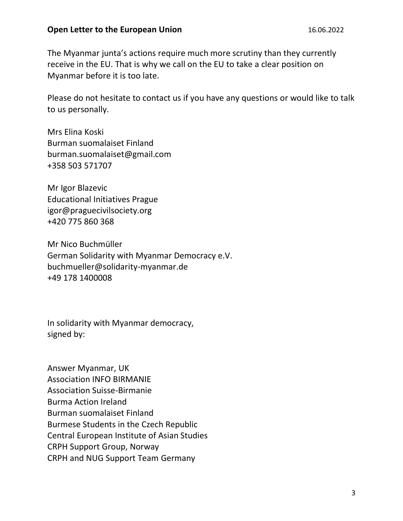## **Open Letter to the European Union** 16.06.2022

The Myanmar junta's actions require much more scrutiny than they currently receive in the EU. That is why we call on the EU to take a clear position on Myanmar before it is too late.

Please do not hesitate to contact us if you have any questions or would like to talk to us personally.

Mrs Elina Koski Burman suomalaiset Finland burman.suomalaiset@gmail.com +358 503 571707

Mr Igor Blazevic Educational Initiatives Prague igor@praguecivilsociety.org +420 775 860 368

Mr Nico Buchmüller German Solidarity with Myanmar Democracy e.V. buchmueller@solidarity-myanmar.de +49 178 1400008

In solidarity with Myanmar democracy, signed by:

Answer Myanmar, UK Association INFO BIRMANIE Association Suisse-Birmanie Burma Action Ireland Burman suomalaiset Finland Burmese Students in the Czech Republic Central European Institute of Asian Studies CRPH Support Group, Norway CRPH and NUG Support Team Germany